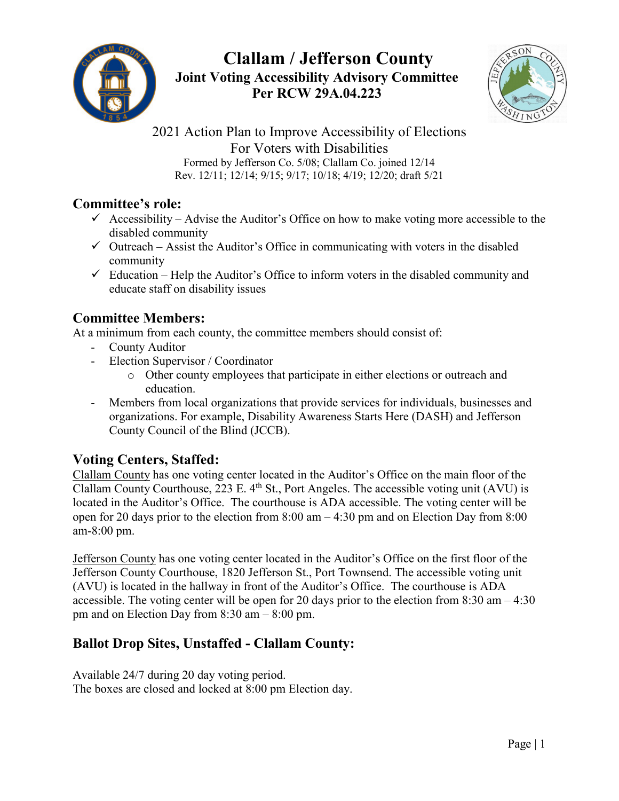

# **Clallam / Jefferson County Joint Voting Accessibility Advisory Committee Per RCW 29A.04.223**



2021 Action Plan to Improve Accessibility of Elections For Voters with Disabilities Formed by Jefferson Co. 5/08; Clallam Co. joined 12/14 Rev. 12/11; 12/14; 9/15; 9/17; 10/18; 4/19; 12/20; draft 5/21

#### **Committee's role:**

- $\checkmark$  Accessibility Advise the Auditor's Office on how to make voting more accessible to the disabled community
- $\checkmark$  Outreach Assist the Auditor's Office in communicating with voters in the disabled community
- $\checkmark$  Education Help the Auditor's Office to inform voters in the disabled community and educate staff on disability issues

#### **Committee Members:**

At a minimum from each county, the committee members should consist of:

- County Auditor
- Election Supervisor / Coordinator
	- o Other county employees that participate in either elections or outreach and education.
- Members from local organizations that provide services for individuals, businesses and organizations. For example, Disability Awareness Starts Here (DASH) and Jefferson County Council of the Blind (JCCB).

# **Voting Centers, Staffed:**

Clallam County has one voting center located in the Auditor's Office on the main floor of the Clallam County Courthouse, 223 E.  $4<sup>th</sup>$  St., Port Angeles. The accessible voting unit (AVU) is located in the Auditor's Office. The courthouse is ADA accessible. The voting center will be open for 20 days prior to the election from 8:00 am – 4:30 pm and on Election Day from 8:00 am-8:00 pm.

Jefferson County has one voting center located in the Auditor's Office on the first floor of the Jefferson County Courthouse, 1820 Jefferson St., Port Townsend. The accessible voting unit (AVU) is located in the hallway in front of the Auditor's Office. The courthouse is ADA accessible. The voting center will be open for 20 days prior to the election from 8:30 am – 4:30 pm and on Election Day from 8:30 am – 8:00 pm.

# **Ballot Drop Sites, Unstaffed - Clallam County:**

Available 24/7 during 20 day voting period. The boxes are closed and locked at 8:00 pm Election day.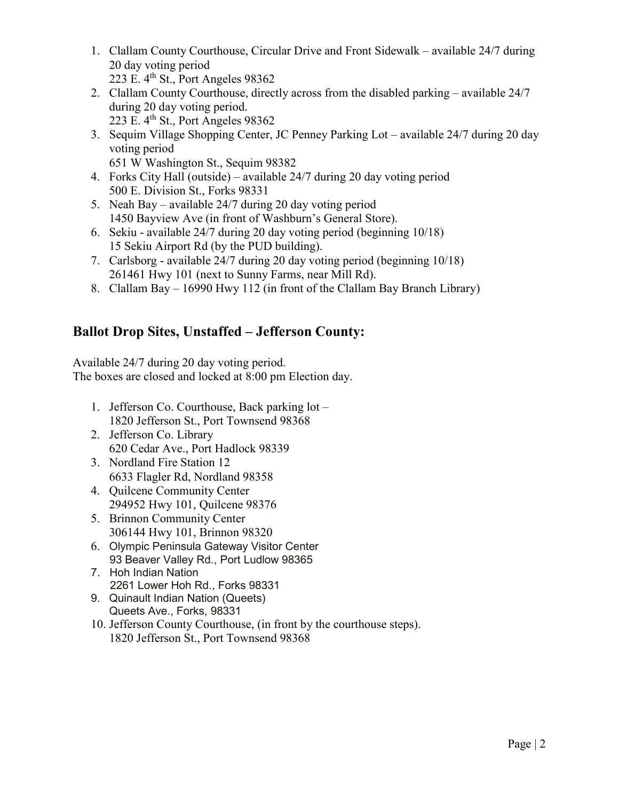- 1. Clallam County Courthouse, Circular Drive and Front Sidewalk available 24/7 during 20 day voting period 223 E.  $4^{\text{th}}$  St., Port Angeles 98362
- 2. Clallam County Courthouse, directly across from the disabled parking available 24/7 during 20 day voting period. 223 E.  $4^{\text{th}}$  St., Port Angeles 98362
- 3. Sequim Village Shopping Center, JC Penney Parking Lot available 24/7 during 20 day voting period
- 651 W Washington St., Sequim 98382 4. Forks City Hall (outside) – available 24/7 during 20 day voting period
- 500 E. Division St., Forks 98331
- 5. Neah Bay available 24/7 during 20 day voting period 1450 Bayview Ave (in front of Washburn's General Store).
- 6. Sekiu available 24/7 during 20 day voting period (beginning 10/18) 15 Sekiu Airport Rd (by the PUD building).
- 7. Carlsborg available 24/7 during 20 day voting period (beginning 10/18) 261461 Hwy 101 (next to Sunny Farms, near Mill Rd).
- 8. Clallam Bay 16990 Hwy 112 (in front of the Clallam Bay Branch Library)

# **Ballot Drop Sites, Unstaffed – Jefferson County:**

Available 24/7 during 20 day voting period. The boxes are closed and locked at 8:00 pm Election day.

- 1. Jefferson Co. Courthouse, Back parking lot 1820 Jefferson St., Port Townsend 98368
- 2. Jefferson Co. Library 620 Cedar Ave., Port Hadlock 98339
- 3. Nordland Fire Station 12 6633 Flagler Rd, Nordland 98358
- 4. Quilcene Community Center 294952 Hwy 101, Quilcene 98376
- 5. Brinnon Community Center 306144 Hwy 101, Brinnon 98320
- 6. Olympic Peninsula Gateway Visitor Center 93 Beaver Valley Rd., Port Ludlow 98365
- 7. Hoh Indian Nation 2261 Lower Hoh Rd., Forks 98331
- 9. Quinault Indian Nation (Queets) Queets Ave., Forks, 98331
- 10. Jefferson County Courthouse, (in front by the courthouse steps). 1820 Jefferson St., Port Townsend 98368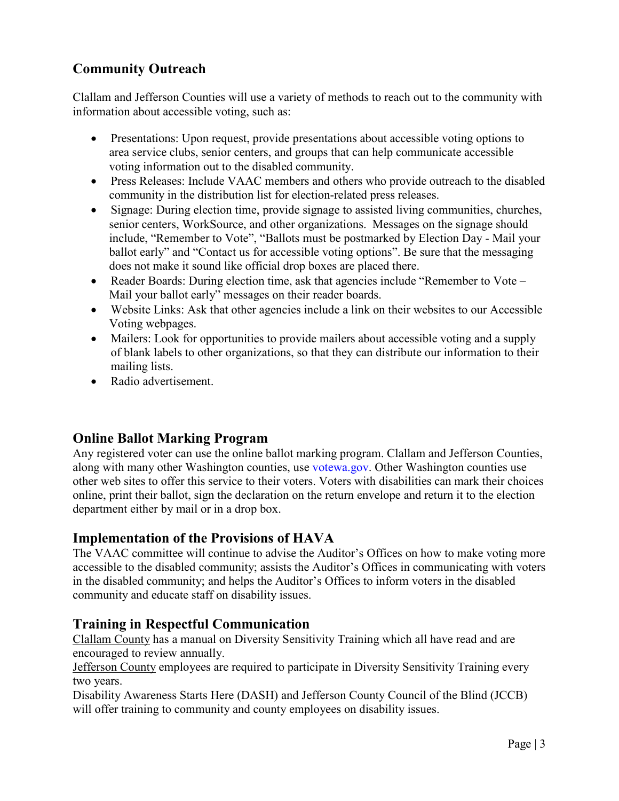# **Community Outreach**

Clallam and Jefferson Counties will use a variety of methods to reach out to the community with information about accessible voting, such as:

- Presentations: Upon request, provide presentations about accessible voting options to area service clubs, senior centers, and groups that can help communicate accessible voting information out to the disabled community.
- Press Releases: Include VAAC members and others who provide outreach to the disabled community in the distribution list for election-related press releases.
- Signage: During election time, provide signage to assisted living communities, churches, senior centers, WorkSource, and other organizations. Messages on the signage should include, "Remember to Vote", "Ballots must be postmarked by Election Day - Mail your ballot early" and "Contact us for accessible voting options". Be sure that the messaging does not make it sound like official drop boxes are placed there.
- Reader Boards: During election time, ask that agencies include "Remember to Vote Mail your ballot early" messages on their reader boards.
- Website Links: Ask that other agencies include a link on their websites to our Accessible Voting webpages.
- Mailers: Look for opportunities to provide mailers about accessible voting and a supply of blank labels to other organizations, so that they can distribute our information to their mailing lists.
- Radio advertisement.

# **Online Ballot Marking Program**

Any registered voter can use the online ballot marking program. Clallam and Jefferson Counties, along with many other Washington counties, use [votewa.gov.](http://www.myvote.wa.gov/) Other Washington counties use other web sites to offer this service to their voters. Voters with disabilities can mark their choices online, print their ballot, sign the declaration on the return envelope and return it to the election department either by mail or in a drop box.

#### **Implementation of the Provisions of HAVA**

The VAAC committee will continue to advise the Auditor's Offices on how to make voting more accessible to the disabled community; assists the Auditor's Offices in communicating with voters in the disabled community; and helps the Auditor's Offices to inform voters in the disabled community and educate staff on disability issues.

# **Training in Respectful Communication**

Clallam County has a manual on Diversity Sensitivity Training which all have read and are encouraged to review annually.

Jefferson County employees are required to participate in Diversity Sensitivity Training every two years.

Disability Awareness Starts Here (DASH) and Jefferson County Council of the Blind (JCCB) will offer training to community and county employees on disability issues.